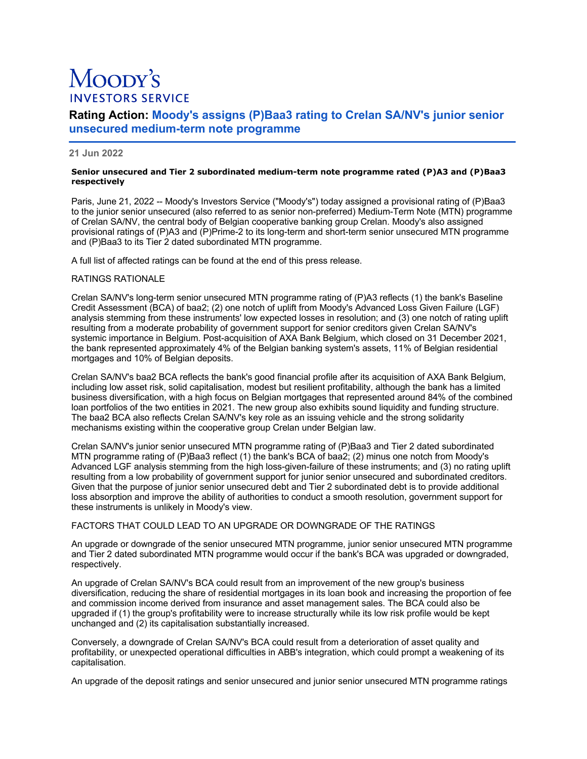# Moopy's **INVESTORS SERVICE**

## **Rating Action: Moody's assigns (P)Baa3 rating to Crelan SA/NV's junior senior unsecured medium-term note programme**

### **21 Jun 2022**

#### **Senior unsecured and Tier 2 subordinated medium-term note programme rated (P)A3 and (P)Baa3 respectively**

Paris, June 21, 2022 -- Moody's Investors Service ("Moody's") today assigned a provisional rating of (P)Baa3 to the junior senior unsecured (also referred to as senior non-preferred) Medium-Term Note (MTN) programme of Crelan SA/NV, the central body of Belgian cooperative banking group Crelan. Moody's also assigned provisional ratings of (P)A3 and (P)Prime-2 to its long-term and short-term senior unsecured MTN programme and (P)Baa3 to its Tier 2 dated subordinated MTN programme.

A full list of affected ratings can be found at the end of this press release.

#### RATINGS RATIONALE

Crelan SA/NV's long-term senior unsecured MTN programme rating of (P)A3 reflects (1) the bank's Baseline Credit Assessment (BCA) of baa2; (2) one notch of uplift from Moody's Advanced Loss Given Failure (LGF) analysis stemming from these instruments' low expected losses in resolution; and (3) one notch of rating uplift resulting from a moderate probability of government support for senior creditors given Crelan SA/NV's systemic importance in Belgium. Post-acquisition of AXA Bank Belgium, which closed on 31 December 2021, the bank represented approximately 4% of the Belgian banking system's assets, 11% of Belgian residential mortgages and 10% of Belgian deposits.

Crelan SA/NV's baa2 BCA reflects the bank's good financial profile after its acquisition of AXA Bank Belgium, including low asset risk, solid capitalisation, modest but resilient profitability, although the bank has a limited business diversification, with a high focus on Belgian mortgages that represented around 84% of the combined loan portfolios of the two entities in 2021. The new group also exhibits sound liquidity and funding structure. The baa2 BCA also reflects Crelan SA/NV's key role as an issuing vehicle and the strong solidarity mechanisms existing within the cooperative group Crelan under Belgian law.

Crelan SA/NV's junior senior unsecured MTN programme rating of (P)Baa3 and Tier 2 dated subordinated MTN programme rating of (P)Baa3 reflect (1) the bank's BCA of baa2; (2) minus one notch from Moody's Advanced LGF analysis stemming from the high loss-given-failure of these instruments; and (3) no rating uplift resulting from a low probability of government support for junior senior unsecured and subordinated creditors. Given that the purpose of junior senior unsecured debt and Tier 2 subordinated debt is to provide additional loss absorption and improve the ability of authorities to conduct a smooth resolution, government support for these instruments is unlikely in Moody's view.

#### FACTORS THAT COULD LEAD TO AN UPGRADE OR DOWNGRADE OF THE RATINGS

An upgrade or downgrade of the senior unsecured MTN programme, junior senior unsecured MTN programme and Tier 2 dated subordinated MTN programme would occur if the bank's BCA was upgraded or downgraded, respectively.

An upgrade of Crelan SA/NV's BCA could result from an improvement of the new group's business diversification, reducing the share of residential mortgages in its loan book and increasing the proportion of fee and commission income derived from insurance and asset management sales. The BCA could also be upgraded if (1) the group's profitability were to increase structurally while its low risk profile would be kept unchanged and (2) its capitalisation substantially increased.

Conversely, a downgrade of Crelan SA/NV's BCA could result from a deterioration of asset quality and profitability, or unexpected operational difficulties in ABB's integration, which could prompt a weakening of its capitalisation.

An upgrade of the deposit ratings and senior unsecured and junior senior unsecured MTN programme ratings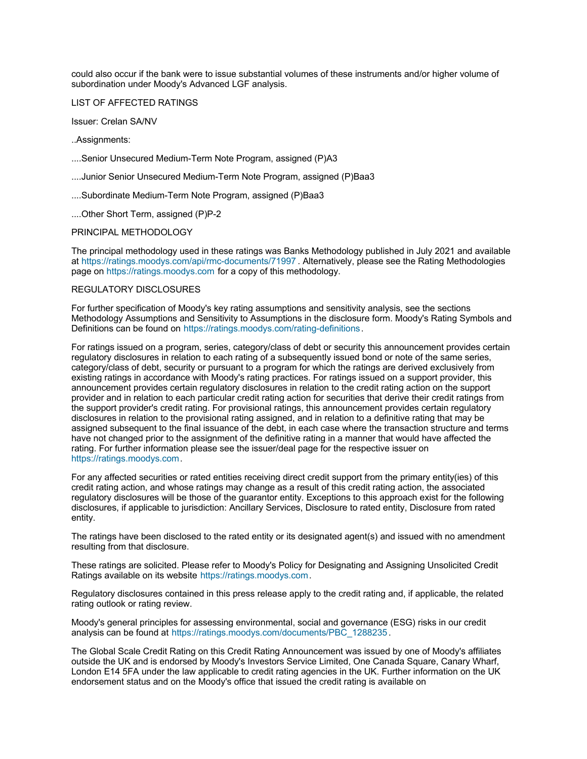could also occur if the bank were to issue substantial volumes of these instruments and/or higher volume of subordination under Moody's Advanced LGF analysis.

LIST OF AFFECTED RATINGS

Issuer: Crelan SA/NV

..Assignments:

- ....Senior Unsecured Medium-Term Note Program, assigned (P)A3
- ....Junior Senior Unsecured Medium-Term Note Program, assigned (P)Baa3
- ....Subordinate Medium-Term Note Program, assigned (P)Baa3
- ....Other Short Term, assigned (P)P-2

#### PRINCIPAL METHODOLOGY

The principal methodology used in these ratings was Banks Methodology published in July 2021 and available at <https://ratings.moodys.com/api/rmc-documents/71997> . Alternatively, please see the Rating Methodologies page on [https://ratings.moodys.com](https://ratings.moodys.com/) for a copy of this methodology.

#### REGULATORY DISCLOSURES

For further specification of Moody's key rating assumptions and sensitivity analysis, see the sections Methodology Assumptions and Sensitivity to Assumptions in the disclosure form. Moody's Rating Symbols and Definitions can be found on<https://ratings.moodys.com/rating-definitions>.

For ratings issued on a program, series, category/class of debt or security this announcement provides certain regulatory disclosures in relation to each rating of a subsequently issued bond or note of the same series, category/class of debt, security or pursuant to a program for which the ratings are derived exclusively from existing ratings in accordance with Moody's rating practices. For ratings issued on a support provider, this announcement provides certain regulatory disclosures in relation to the credit rating action on the support provider and in relation to each particular credit rating action for securities that derive their credit ratings from the support provider's credit rating. For provisional ratings, this announcement provides certain regulatory disclosures in relation to the provisional rating assigned, and in relation to a definitive rating that may be assigned subsequent to the final issuance of the debt, in each case where the transaction structure and terms have not changed prior to the assignment of the definitive rating in a manner that would have affected the rating. For further information please see the issuer/deal page for the respective issuer on [https://ratings.moodys.com](https://ratings.moodys.com/).

For any affected securities or rated entities receiving direct credit support from the primary entity(ies) of this credit rating action, and whose ratings may change as a result of this credit rating action, the associated regulatory disclosures will be those of the guarantor entity. Exceptions to this approach exist for the following disclosures, if applicable to jurisdiction: Ancillary Services, Disclosure to rated entity, Disclosure from rated entity.

The ratings have been disclosed to the rated entity or its designated agent(s) and issued with no amendment resulting from that disclosure.

These ratings are solicited. Please refer to Moody's Policy for Designating and Assigning Unsolicited Credit Ratings available on its website [https://ratings.moodys.com](https://ratings.moodys.com/).

Regulatory disclosures contained in this press release apply to the credit rating and, if applicable, the related rating outlook or rating review.

Moody's general principles for assessing environmental, social and governance (ESG) risks in our credit analysis can be found at [https://ratings.moodys.com/documents/PBC\\_1288235](https://ratings.moodys.com/documents/PBC_1288235).

The Global Scale Credit Rating on this Credit Rating Announcement was issued by one of Moody's affiliates outside the UK and is endorsed by Moody's Investors Service Limited, One Canada Square, Canary Wharf, London E14 5FA under the law applicable to credit rating agencies in the UK. Further information on the UK endorsement status and on the Moody's office that issued the credit rating is available on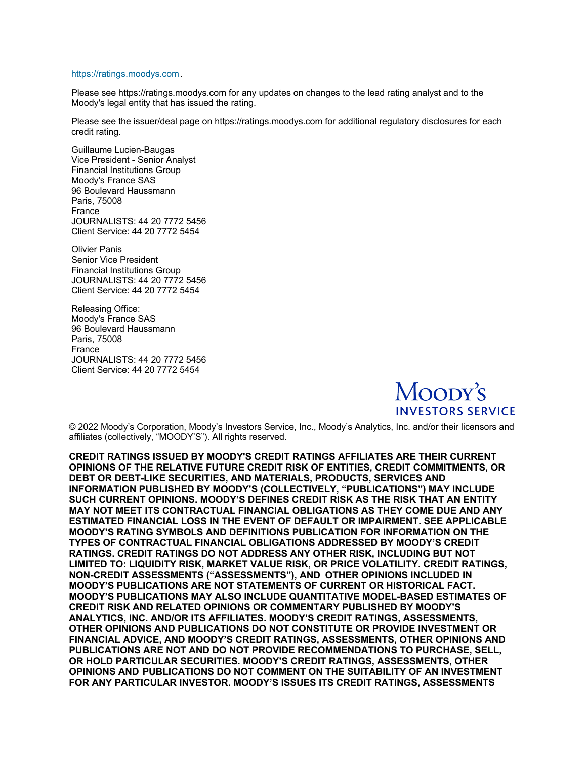#### [https://ratings.moodys.com](https://ratings.moodys.com/).

Please see https://ratings.moodys.com for any updates on changes to the lead rating analyst and to the Moody's legal entity that has issued the rating.

Please see the issuer/deal page on https://ratings.moodys.com for additional regulatory disclosures for each credit rating.

Guillaume Lucien-Baugas Vice President - Senior Analyst Financial Institutions Group Moody's France SAS 96 Boulevard Haussmann Paris, 75008 France JOURNALISTS: 44 20 7772 5456 Client Service: 44 20 7772 5454

Olivier Panis Senior Vice President Financial Institutions Group JOURNALISTS: 44 20 7772 5456 Client Service: 44 20 7772 5454

Releasing Office: Moody's France SAS 96 Boulevard Haussmann Paris, 75008 France JOURNALISTS: 44 20 7772 5456 Client Service: 44 20 7772 5454



© 2022 Moody's Corporation, Moody's Investors Service, Inc., Moody's Analytics, Inc. and/or their licensors and affiliates (collectively, "MOODY'S"). All rights reserved.

**CREDIT RATINGS ISSUED BY MOODY'S CREDIT RATINGS AFFILIATES ARE THEIR CURRENT OPINIONS OF THE RELATIVE FUTURE CREDIT RISK OF ENTITIES, CREDIT COMMITMENTS, OR DEBT OR DEBT-LIKE SECURITIES, AND MATERIALS, PRODUCTS, SERVICES AND INFORMATION PUBLISHED BY MOODY'S (COLLECTIVELY, "PUBLICATIONS") MAY INCLUDE SUCH CURRENT OPINIONS. MOODY'S DEFINES CREDIT RISK AS THE RISK THAT AN ENTITY MAY NOT MEET ITS CONTRACTUAL FINANCIAL OBLIGATIONS AS THEY COME DUE AND ANY ESTIMATED FINANCIAL LOSS IN THE EVENT OF DEFAULT OR IMPAIRMENT. SEE APPLICABLE MOODY'S RATING SYMBOLS AND DEFINITIONS PUBLICATION FOR INFORMATION ON THE TYPES OF CONTRACTUAL FINANCIAL OBLIGATIONS ADDRESSED BY MOODY'S CREDIT RATINGS. CREDIT RATINGS DO NOT ADDRESS ANY OTHER RISK, INCLUDING BUT NOT LIMITED TO: LIQUIDITY RISK, MARKET VALUE RISK, OR PRICE VOLATILITY. CREDIT RATINGS, NON-CREDIT ASSESSMENTS ("ASSESSMENTS"), AND OTHER OPINIONS INCLUDED IN MOODY'S PUBLICATIONS ARE NOT STATEMENTS OF CURRENT OR HISTORICAL FACT. MOODY'S PUBLICATIONS MAY ALSO INCLUDE QUANTITATIVE MODEL-BASED ESTIMATES OF CREDIT RISK AND RELATED OPINIONS OR COMMENTARY PUBLISHED BY MOODY'S ANALYTICS, INC. AND/OR ITS AFFILIATES. MOODY'S CREDIT RATINGS, ASSESSMENTS, OTHER OPINIONS AND PUBLICATIONS DO NOT CONSTITUTE OR PROVIDE INVESTMENT OR FINANCIAL ADVICE, AND MOODY'S CREDIT RATINGS, ASSESSMENTS, OTHER OPINIONS AND PUBLICATIONS ARE NOT AND DO NOT PROVIDE RECOMMENDATIONS TO PURCHASE, SELL, OR HOLD PARTICULAR SECURITIES. MOODY'S CREDIT RATINGS, ASSESSMENTS, OTHER OPINIONS AND PUBLICATIONS DO NOT COMMENT ON THE SUITABILITY OF AN INVESTMENT FOR ANY PARTICULAR INVESTOR. MOODY'S ISSUES ITS CREDIT RATINGS, ASSESSMENTS**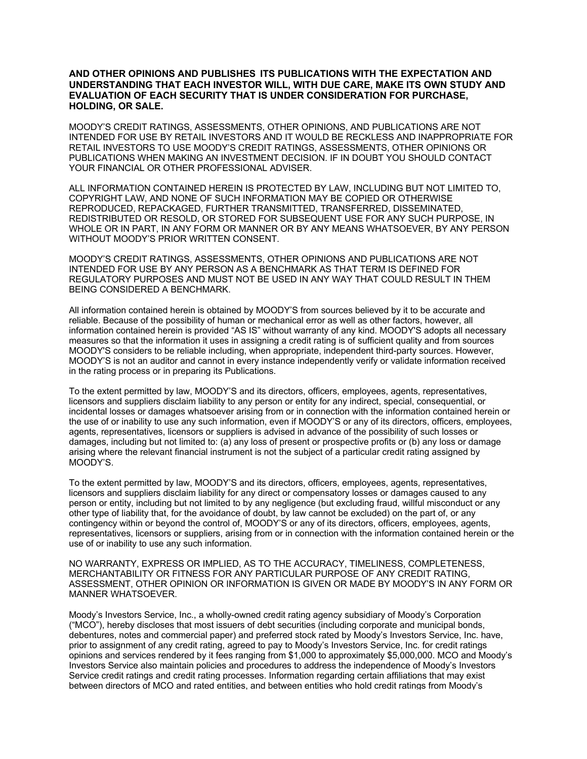#### **AND OTHER OPINIONS AND PUBLISHES ITS PUBLICATIONS WITH THE EXPECTATION AND UNDERSTANDING THAT EACH INVESTOR WILL, WITH DUE CARE, MAKE ITS OWN STUDY AND EVALUATION OF EACH SECURITY THAT IS UNDER CONSIDERATION FOR PURCHASE, HOLDING, OR SALE.**

MOODY'S CREDIT RATINGS, ASSESSMENTS, OTHER OPINIONS, AND PUBLICATIONS ARE NOT INTENDED FOR USE BY RETAIL INVESTORS AND IT WOULD BE RECKLESS AND INAPPROPRIATE FOR RETAIL INVESTORS TO USE MOODY'S CREDIT RATINGS, ASSESSMENTS, OTHER OPINIONS OR PUBLICATIONS WHEN MAKING AN INVESTMENT DECISION. IF IN DOUBT YOU SHOULD CONTACT YOUR FINANCIAL OR OTHER PROFESSIONAL ADVISER.

ALL INFORMATION CONTAINED HEREIN IS PROTECTED BY LAW, INCLUDING BUT NOT LIMITED TO, COPYRIGHT LAW, AND NONE OF SUCH INFORMATION MAY BE COPIED OR OTHERWISE REPRODUCED, REPACKAGED, FURTHER TRANSMITTED, TRANSFERRED, DISSEMINATED, REDISTRIBUTED OR RESOLD, OR STORED FOR SUBSEQUENT USE FOR ANY SUCH PURPOSE, IN WHOLE OR IN PART, IN ANY FORM OR MANNER OR BY ANY MEANS WHATSOEVER, BY ANY PERSON WITHOUT MOODY'S PRIOR WRITTEN CONSENT.

MOODY'S CREDIT RATINGS, ASSESSMENTS, OTHER OPINIONS AND PUBLICATIONS ARE NOT INTENDED FOR USE BY ANY PERSON AS A BENCHMARK AS THAT TERM IS DEFINED FOR REGULATORY PURPOSES AND MUST NOT BE USED IN ANY WAY THAT COULD RESULT IN THEM BEING CONSIDERED A BENCHMARK.

All information contained herein is obtained by MOODY'S from sources believed by it to be accurate and reliable. Because of the possibility of human or mechanical error as well as other factors, however, all information contained herein is provided "AS IS" without warranty of any kind. MOODY'S adopts all necessary measures so that the information it uses in assigning a credit rating is of sufficient quality and from sources MOODY'S considers to be reliable including, when appropriate, independent third-party sources. However, MOODY'S is not an auditor and cannot in every instance independently verify or validate information received in the rating process or in preparing its Publications.

To the extent permitted by law, MOODY'S and its directors, officers, employees, agents, representatives, licensors and suppliers disclaim liability to any person or entity for any indirect, special, consequential, or incidental losses or damages whatsoever arising from or in connection with the information contained herein or the use of or inability to use any such information, even if MOODY'S or any of its directors, officers, employees, agents, representatives, licensors or suppliers is advised in advance of the possibility of such losses or damages, including but not limited to: (a) any loss of present or prospective profits or (b) any loss or damage arising where the relevant financial instrument is not the subject of a particular credit rating assigned by MOODY'S.

To the extent permitted by law, MOODY'S and its directors, officers, employees, agents, representatives, licensors and suppliers disclaim liability for any direct or compensatory losses or damages caused to any person or entity, including but not limited to by any negligence (but excluding fraud, willful misconduct or any other type of liability that, for the avoidance of doubt, by law cannot be excluded) on the part of, or any contingency within or beyond the control of, MOODY'S or any of its directors, officers, employees, agents, representatives, licensors or suppliers, arising from or in connection with the information contained herein or the use of or inability to use any such information.

NO WARRANTY, EXPRESS OR IMPLIED, AS TO THE ACCURACY, TIMELINESS, COMPLETENESS, MERCHANTABILITY OR FITNESS FOR ANY PARTICULAR PURPOSE OF ANY CREDIT RATING, ASSESSMENT, OTHER OPINION OR INFORMATION IS GIVEN OR MADE BY MOODY'S IN ANY FORM OR MANNER WHATSOEVER.

Moody's Investors Service, Inc., a wholly-owned credit rating agency subsidiary of Moody's Corporation ("MCO"), hereby discloses that most issuers of debt securities (including corporate and municipal bonds, debentures, notes and commercial paper) and preferred stock rated by Moody's Investors Service, Inc. have, prior to assignment of any credit rating, agreed to pay to Moody's Investors Service, Inc. for credit ratings opinions and services rendered by it fees ranging from \$1,000 to approximately \$5,000,000. MCO and Moody's Investors Service also maintain policies and procedures to address the independence of Moody's Investors Service credit ratings and credit rating processes. Information regarding certain affiliations that may exist between directors of MCO and rated entities, and between entities who hold credit ratings from Moody's